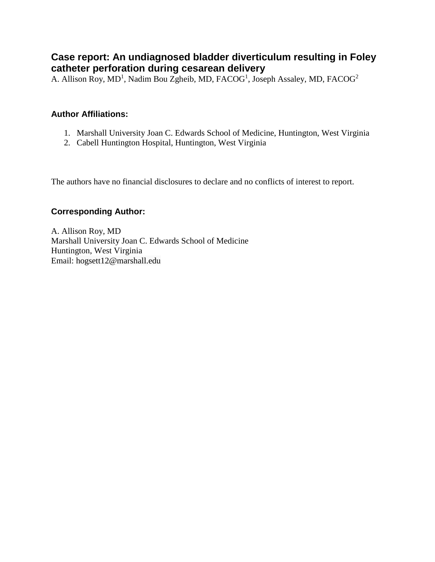# **Case report: An undiagnosed bladder diverticulum resulting in Foley catheter perforation during cesarean delivery**

A. Allison Roy, MD<sup>1</sup>, Nadim Bou Zgheib, MD, FACOG<sup>1</sup>, Joseph Assaley, MD, FACOG<sup>2</sup>

### **Author Affiliations:**

- 1. Marshall University Joan C. Edwards School of Medicine, Huntington, West Virginia
- 2. Cabell Huntington Hospital, Huntington, West Virginia

The authors have no financial disclosures to declare and no conflicts of interest to report.

#### **Corresponding Author:**

A. Allison Roy, MD Marshall University Joan C. Edwards School of Medicine Huntington, West Virginia Email: hogsett12@marshall.edu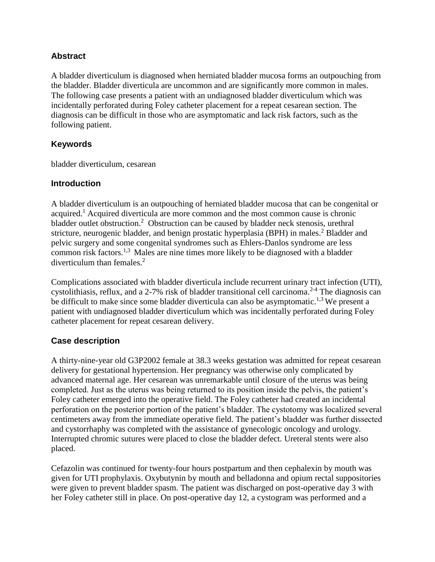#### **Abstract**

A bladder diverticulum is diagnosed when herniated bladder mucosa forms an outpouching from the bladder. Bladder diverticula are uncommon and are significantly more common in males. The following case presents a patient with an undiagnosed bladder diverticulum which was incidentally perforated during Foley catheter placement for a repeat cesarean section. The diagnosis can be difficult in those who are asymptomatic and lack risk factors, such as the following patient.

#### **Keywords**

bladder diverticulum, cesarean

#### **Introduction**

A bladder diverticulum is an outpouching of herniated bladder mucosa that can be congenital or acquired.<sup>1</sup> Acquired diverticula are more common and the most common cause is chronic bladder outlet obstruction.<sup>2</sup> Obstruction can be caused by bladder neck stenosis, urethral stricture, neurogenic bladder, and benign prostatic hyperplasia (BPH) in males.<sup>2</sup> Bladder and pelvic surgery and some congenital syndromes such as Ehlers-Danlos syndrome are less common risk factors.1,3 Males are nine times more likely to be diagnosed with a bladder diverticulum than females.<sup>2</sup>

Complications associated with bladder diverticula include recurrent urinary tract infection (UTI), cystolithiasis, reflux, and a 2-7% risk of bladder transitional cell carcinoma.<sup>2-4</sup> The diagnosis can be difficult to make since some bladder diverticula can also be asymptomatic.<sup>1,3</sup> We present a patient with undiagnosed bladder diverticulum which was incidentally perforated during Foley catheter placement for repeat cesarean delivery.

### **Case description**

A thirty-nine-year old G3P2002 female at 38.3 weeks gestation was admitted for repeat cesarean delivery for gestational hypertension. Her pregnancy was otherwise only complicated by advanced maternal age. Her cesarean was unremarkable until closure of the uterus was being completed. Just as the uterus was being returned to its position inside the pelvis, the patient's Foley catheter emerged into the operative field. The Foley catheter had created an incidental perforation on the posterior portion of the patient's bladder. The cystotomy was localized several centimeters away from the immediate operative field. The patient's bladder was further dissected and cystorrhaphy was completed with the assistance of gynecologic oncology and urology. Interrupted chromic sutures were placed to close the bladder defect. Ureteral stents were also placed.

Cefazolin was continued for twenty-four hours postpartum and then cephalexin by mouth was given for UTI prophylaxis. Oxybutynin by mouth and belladonna and opium rectal suppositories were given to prevent bladder spasm. The patient was discharged on post-operative day 3 with her Foley catheter still in place. On post-operative day 12, a cystogram was performed and a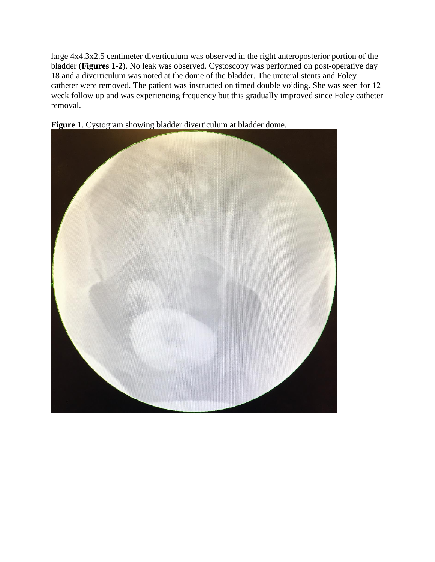large 4x4.3x2.5 centimeter diverticulum was observed in the right anteroposterior portion of the bladder (**Figures 1-2**). No leak was observed. Cystoscopy was performed on post-operative day 18 and a diverticulum was noted at the dome of the bladder. The ureteral stents and Foley catheter were removed. The patient was instructed on timed double voiding. She was seen for 12 week follow up and was experiencing frequency but this gradually improved since Foley catheter removal.



**Figure 1**. Cystogram showing bladder diverticulum at bladder dome.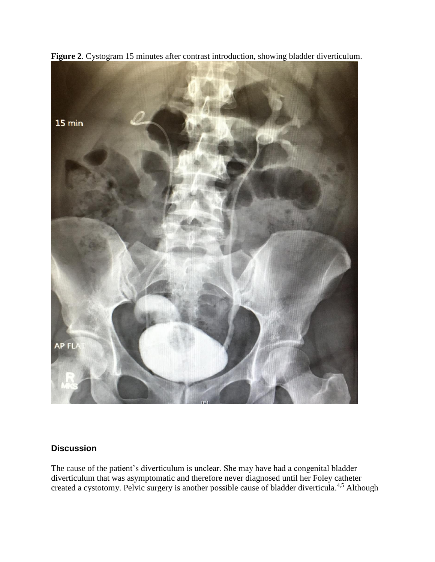

**Figure 2**. Cystogram 15 minutes after contrast introduction, showing bladder diverticulum.

## **Discussion**

The cause of the patient's diverticulum is unclear. She may have had a congenital bladder diverticulum that was asymptomatic and therefore never diagnosed until her Foley catheter created a cystotomy. Pelvic surgery is another possible cause of bladder diverticula.<sup>4,5</sup> Although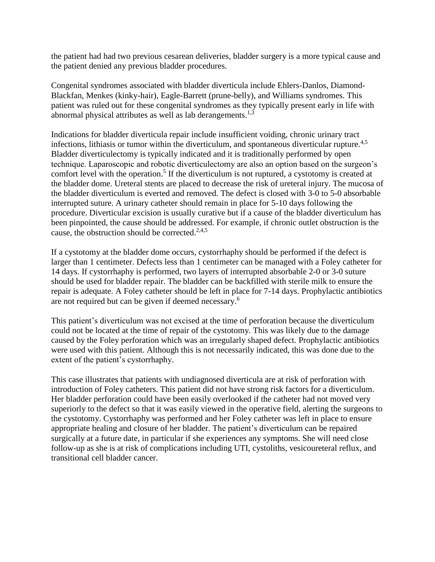the patient had had two previous cesarean deliveries, bladder surgery is a more typical cause and the patient denied any previous bladder procedures.

Congenital syndromes associated with bladder diverticula include Ehlers-Danlos, Diamond-Blackfan, Menkes (kinky-hair), Eagle-Barrett (prune-belly), and Williams syndromes. This patient was ruled out for these congenital syndromes as they typically present early in life with abnormal physical attributes as well as lab derangements.<sup>1,3</sup>

Indications for bladder diverticula repair include insufficient voiding, chronic urinary tract infections, lithiasis or tumor within the diverticulum, and spontaneous diverticular rupture.<sup>4,5</sup> Bladder diverticulectomy is typically indicated and it is traditionally performed by open technique. Laparoscopic and robotic diverticulectomy are also an option based on the surgeon's comfort level with the operation.<sup>5</sup> If the diverticulum is not ruptured, a cystotomy is created at the bladder dome. Ureteral stents are placed to decrease the risk of ureteral injury. The mucosa of the bladder diverticulum is everted and removed. The defect is closed with 3-0 to 5-0 absorbable interrupted suture. A urinary catheter should remain in place for 5-10 days following the procedure. Diverticular excision is usually curative but if a cause of the bladder diverticulum has been pinpointed, the cause should be addressed. For example, if chronic outlet obstruction is the cause, the obstruction should be corrected. $2,4,5$ 

If a cystotomy at the bladder dome occurs, cystorrhaphy should be performed if the defect is larger than 1 centimeter. Defects less than 1 centimeter can be managed with a Foley catheter for 14 days. If cystorrhaphy is performed, two layers of interrupted absorbable 2-0 or 3-0 suture should be used for bladder repair. The bladder can be backfilled with sterile milk to ensure the repair is adequate. A Foley catheter should be left in place for 7-14 days. Prophylactic antibiotics are not required but can be given if deemed necessary. 6

This patient's diverticulum was not excised at the time of perforation because the diverticulum could not be located at the time of repair of the cystotomy. This was likely due to the damage caused by the Foley perforation which was an irregularly shaped defect. Prophylactic antibiotics were used with this patient. Although this is not necessarily indicated, this was done due to the extent of the patient's cystorrhaphy.

This case illustrates that patients with undiagnosed diverticula are at risk of perforation with introduction of Foley catheters. This patient did not have strong risk factors for a diverticulum. Her bladder perforation could have been easily overlooked if the catheter had not moved very superiorly to the defect so that it was easily viewed in the operative field, alerting the surgeons to the cystotomy. Cystorrhaphy was performed and her Foley catheter was left in place to ensure appropriate healing and closure of her bladder. The patient's diverticulum can be repaired surgically at a future date, in particular if she experiences any symptoms. She will need close follow-up as she is at risk of complications including UTI, cystoliths, vesicoureteral reflux, and transitional cell bladder cancer.